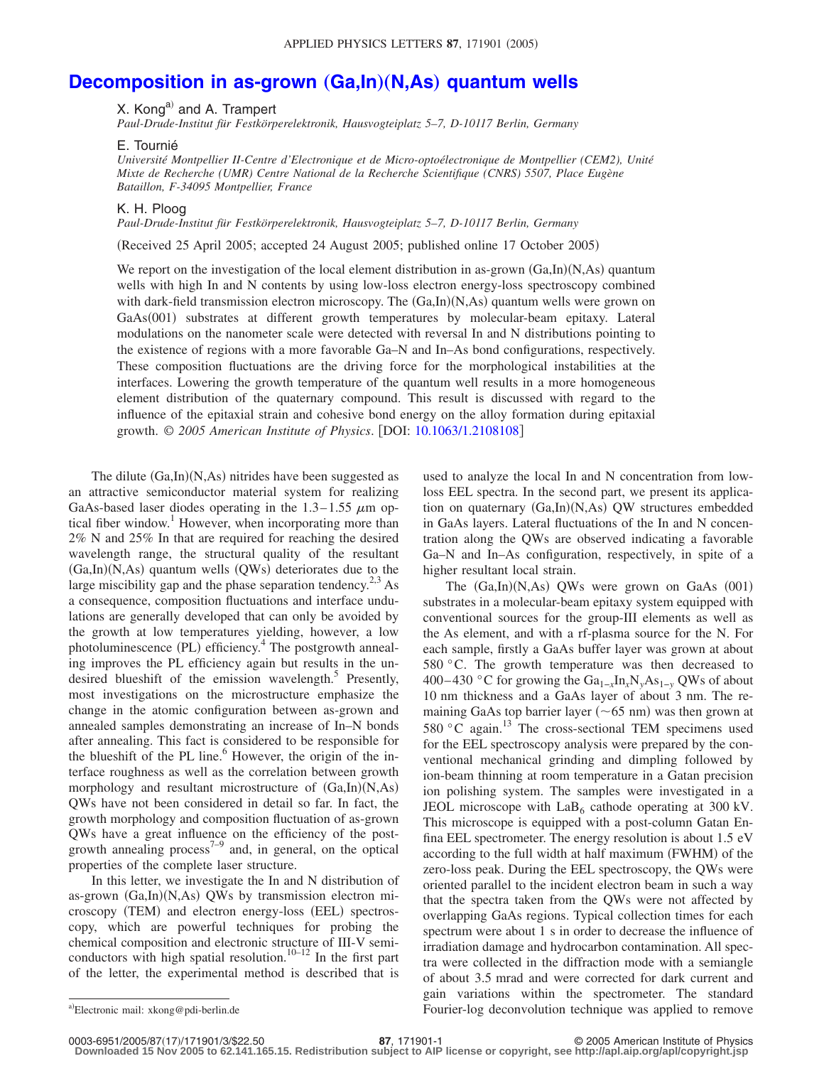## **[Decomposition in as-grown](http://dx.doi.org/10.1063/1.2108108) (Ga,In)(N,As) quantum wells**

## X. Kong<sup>a)</sup> and A. Trampert

*Paul-Drude-Institut für Festkörperelektronik, Hausvogteiplatz 5–7, D-10117 Berlin, Germany*

## E. Tournié

*Université Montpellier II-Centre d'Electronique et de Micro-optoélectronique de Montpellier (CEM2), Unité Mixte de Recherche (UMR) Centre National de la Recherche Scientifique (CNRS) 5507, Place Eugène Bataillon, F-34095 Montpellier, France*

K. H. Ploog

*Paul-Drude-Institut für Festkörperelektronik, Hausvogteiplatz 5–7, D-10117 Berlin, Germany*

Received 25 April 2005; accepted 24 August 2005; published online 17 October 2005-

We report on the investigation of the local element distribution in as-grown (Ga,In)(N,As) quantum wells with high In and N contents by using low-loss electron energy-loss spectroscopy combined with dark-field transmission electron microscopy. The (Ga,In)(N,As) quantum wells were grown on GaAs(001) substrates at different growth temperatures by molecular-beam epitaxy. Lateral modulations on the nanometer scale were detected with reversal In and N distributions pointing to the existence of regions with a more favorable Ga–N and In–As bond configurations, respectively. These composition fluctuations are the driving force for the morphological instabilities at the interfaces. Lowering the growth temperature of the quantum well results in a more homogeneous element distribution of the quaternary compound. This result is discussed with regard to the influence of the epitaxial strain and cohesive bond energy on the alloy formation during epitaxial growth. © *2005 American Institute of Physics*. DOI: [10.1063/1.2108108](http://dx.doi.org/10.1063/1.2108108)

The dilute (Ga,In)(N,As) nitrides have been suggested as an attractive semiconductor material system for realizing GaAs-based laser diodes operating in the  $1.3-1.55 \mu m$  optical fiber window.<sup>1</sup> However, when incorporating more than 2% N and 25% In that are required for reaching the desired wavelength range, the structural quality of the resultant (Ga,In)(N,As) quantum wells (QWs) deteriorates due to the large miscibility gap and the phase separation tendency.<sup>2,3</sup> As a consequence, composition fluctuations and interface undulations are generally developed that can only be avoided by the growth at low temperatures yielding, however, a low photoluminescence (PL) efficiency.<sup>4</sup> The postgrowth annealing improves the PL efficiency again but results in the undesired blueshift of the emission wavelength. $5$  Presently, most investigations on the microstructure emphasize the change in the atomic configuration between as-grown and annealed samples demonstrating an increase of In–N bonds after annealing. This fact is considered to be responsible for the blueshift of the PL line. $6$  However, the origin of the interface roughness as well as the correlation between growth morphology and resultant microstructure of  $(Ga, In)(N, As)$ QWs have not been considered in detail so far. In fact, the growth morphology and composition fluctuation of as-grown QWs have a great influence on the efficiency of the postgrowth annealing process<sup>7-9</sup> and, in general, on the optical properties of the complete laser structure.

In this letter, we investigate the In and N distribution of as-grown (Ga,In)(N,As) QWs by transmission electron microscopy (TEM) and electron energy-loss (EEL) spectroscopy, which are powerful techniques for probing the chemical composition and electronic structure of III-V semiconductors with high spatial resolution.<sup>10–12</sup> In the first part of the letter, the experimental method is described that is

used to analyze the local In and N concentration from lowloss EEL spectra. In the second part, we present its application on quaternary (Ga,In)(N,As) QW structures embedded in GaAs layers. Lateral fluctuations of the In and N concentration along the QWs are observed indicating a favorable Ga–N and In–As configuration, respectively, in spite of a higher resultant local strain.

The (Ga,In)(N,As) QWs were grown on GaAs (001) substrates in a molecular-beam epitaxy system equipped with conventional sources for the group-III elements as well as the As element, and with a rf-plasma source for the N. For each sample, firstly a GaAs buffer layer was grown at about 580 °C. The growth temperature was then decreased to 400– 430 °C for growing the Ga1−*x*In*x*N*y*As1−*<sup>y</sup>* QWs of about 10 nm thickness and a GaAs layer of about 3 nm. The remaining GaAs top barrier layer ( $\sim$  65 nm) was then grown at 580  $\degree$ C again.<sup>13</sup> The cross-sectional TEM specimens used for the EEL spectroscopy analysis were prepared by the conventional mechanical grinding and dimpling followed by ion-beam thinning at room temperature in a Gatan precision ion polishing system. The samples were investigated in a JEOL microscope with  $LaB<sub>6</sub>$  cathode operating at 300 kV. This microscope is equipped with a post-column Gatan Enfina EEL spectrometer. The energy resolution is about 1.5 eV according to the full width at half maximum (FWHM) of the zero-loss peak. During the EEL spectroscopy, the QWs were oriented parallel to the incident electron beam in such a way that the spectra taken from the QWs were not affected by overlapping GaAs regions. Typical collection times for each spectrum were about 1 s in order to decrease the influence of irradiation damage and hydrocarbon contamination. All spectra were collected in the diffraction mode with a semiangle of about 3.5 mrad and were corrected for dark current and gain variations within the spectrometer. The standard Fourier-log deconvolution technique was applied to remove

Electronic mail: xkong@pdi-berlin.de

**<sup>87</sup>**, 171901-1 © 2005 American Institute of Physics

**Downloaded 15 Nov 2005 to 62.141.165.15. Redistribution subject to AIP license or copyright, see http://apl.aip.org/apl/copyright.jsp**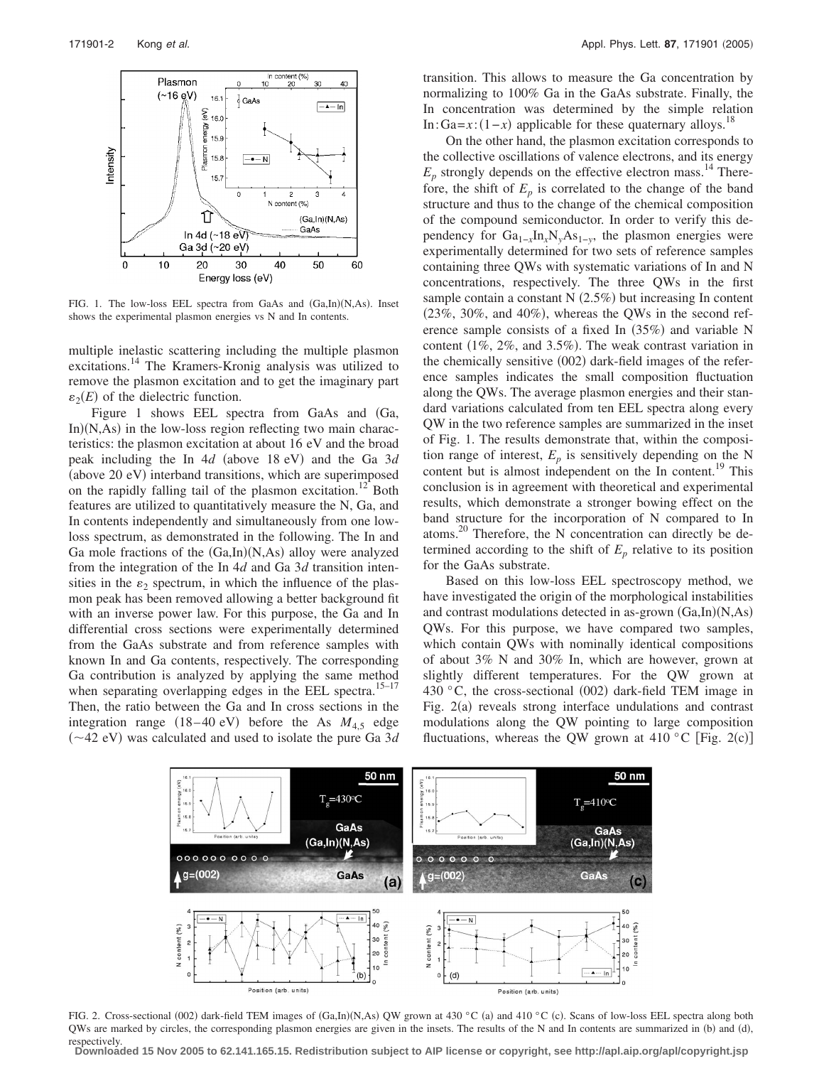

FIG. 1. The low-loss EEL spectra from GaAs and (Ga,In)(N,As). Inset shows the experimental plasmon energies vs N and In contents.

multiple inelastic scattering including the multiple plasmon excitations.<sup>14</sup> The Kramers-Kronig analysis was utilized to remove the plasmon excitation and to get the imaginary part  $\varepsilon_2(E)$  of the dielectric function.

Figure 1 shows EEL spectra from GaAs and Ga, In)(N,As) in the low-loss region reflecting two main characteristics: the plasmon excitation at about 16 eV and the broad peak including the In 4*d* (above 18 eV) and the Ga 3*d* (above 20 eV) interband transitions, which are superimposed on the rapidly falling tail of the plasmon excitation.<sup>12</sup> Both features are utilized to quantitatively measure the N, Ga, and In contents independently and simultaneously from one lowloss spectrum, as demonstrated in the following. The In and Ga mole fractions of the  $(Ga, In)(N, As)$  alloy were analyzed from the integration of the In 4*d* and Ga 3*d* transition intensities in the  $\varepsilon_2$  spectrum, in which the influence of the plasmon peak has been removed allowing a better background fit with an inverse power law. For this purpose, the Ga and In differential cross sections were experimentally determined from the GaAs substrate and from reference samples with known In and Ga contents, respectively. The corresponding Ga contribution is analyzed by applying the same method when separating overlapping edges in the EEL spectra.<sup>15-17</sup> Then, the ratio between the Ga and In cross sections in the integration range  $(18-40 \text{ eV})$  before the As  $M_{4,5}$  edge  $(\sim 42$  eV) was calculated and used to isolate the pure Ga 3*d* 

transition. This allows to measure the Ga concentration by normalizing to 100% Ga in the GaAs substrate. Finally, the In concentration was determined by the simple relation In: Ga= $x$ :  $(1-x)$  applicable for these quaternary alloys.<sup>18</sup>

On the other hand, the plasmon excitation corresponds to the collective oscillations of valence electrons, and its energy  $E_p$  strongly depends on the effective electron mass.<sup>14</sup> Therefore, the shift of  $E_p$  is correlated to the change of the band structure and thus to the change of the chemical composition of the compound semiconductor. In order to verify this dependency for  $Ga_{1-x}In_xN_yAs_{1-y}$ , the plasmon energies were experimentally determined for two sets of reference samples containing three QWs with systematic variations of In and N concentrations, respectively. The three QWs in the first sample contain a constant  $N(2.5%)$  but increasing In content  $(23\%, 30\%, \text{ and } 40\%)$ , whereas the QWs in the second reference sample consists of a fixed In  $(35%)$  and variable N content  $(1\%, 2\%, \text{ and } 3.5\%)$ . The weak contrast variation in the chemically sensitive (002) dark-field images of the reference samples indicates the small composition fluctuation along the QWs. The average plasmon energies and their standard variations calculated from ten EEL spectra along every QW in the two reference samples are summarized in the inset of Fig. 1. The results demonstrate that, within the composition range of interest,  $E_p$  is sensitively depending on the N content but is almost independent on the In content.<sup>19</sup> This conclusion is in agreement with theoretical and experimental results, which demonstrate a stronger bowing effect on the band structure for the incorporation of N compared to In atoms.20 Therefore, the N concentration can directly be determined according to the shift of  $E_p$  relative to its position for the GaAs substrate.

Based on this low-loss EEL spectroscopy method, we have investigated the origin of the morphological instabilities and contrast modulations detected in as-grown (Ga,In)(N,As) QWs. For this purpose, we have compared two samples, which contain QWs with nominally identical compositions of about 3% N and 30% In, which are however, grown at slightly different temperatures. For the QW grown at 430 °C, the cross-sectional (002) dark-field TEM image in Fig. 2(a) reveals strong interface undulations and contrast modulations along the QW pointing to large composition fluctuations, whereas the QW grown at 410 °C [Fig. 2(c)]



FIG. 2. Cross-sectional (002) dark-field TEM images of  $(Ga, In)(N, As)$  QW grown at 430 °C (a) and 410 °C (c). Scans of low-loss EEL spectra along both QWs are marked by circles, the corresponding plasmon energies are given in the insets. The results of the N and In contents are summarized in (b) and (d), respectively.

**Downloaded 15 Nov 2005 to 62.141.165.15. Redistribution subject to AIP license or copyright, see http://apl.aip.org/apl/copyright.jsp**